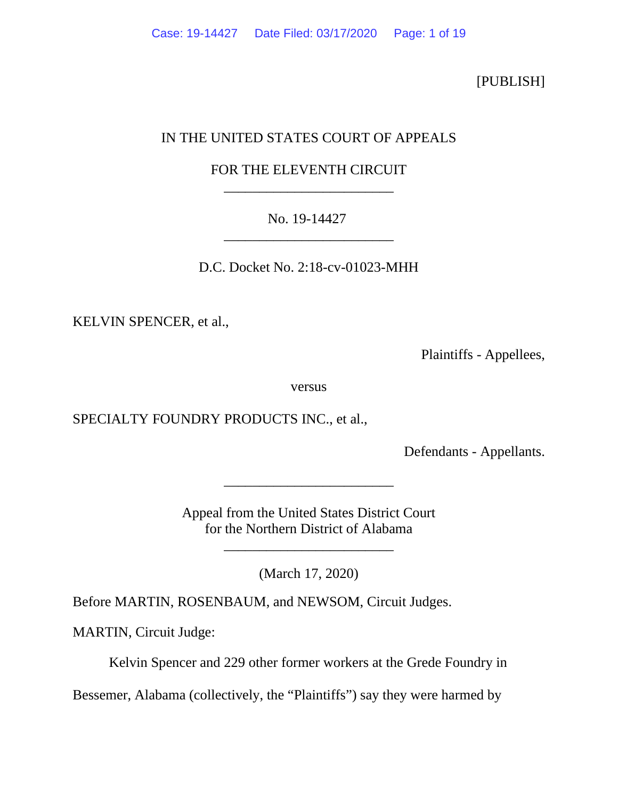[PUBLISH]

# IN THE UNITED STATES COURT OF APPEALS

# FOR THE ELEVENTH CIRCUIT \_\_\_\_\_\_\_\_\_\_\_\_\_\_\_\_\_\_\_\_\_\_\_\_

# No. 19-14427 \_\_\_\_\_\_\_\_\_\_\_\_\_\_\_\_\_\_\_\_\_\_\_\_

D.C. Docket No. 2:18-cv-01023-MHH

KELVIN SPENCER, et al.,

Plaintiffs - Appellees,

versus

SPECIALTY FOUNDRY PRODUCTS INC., et al.,

Defendants - Appellants.

Appeal from the United States District Court for the Northern District of Alabama

\_\_\_\_\_\_\_\_\_\_\_\_\_\_\_\_\_\_\_\_\_\_\_\_

(March 17, 2020)

\_\_\_\_\_\_\_\_\_\_\_\_\_\_\_\_\_\_\_\_\_\_\_\_

Before MARTIN, ROSENBAUM, and NEWSOM, Circuit Judges.

MARTIN, Circuit Judge:

Kelvin Spencer and 229 other former workers at the Grede Foundry in

Bessemer, Alabama (collectively, the "Plaintiffs") say they were harmed by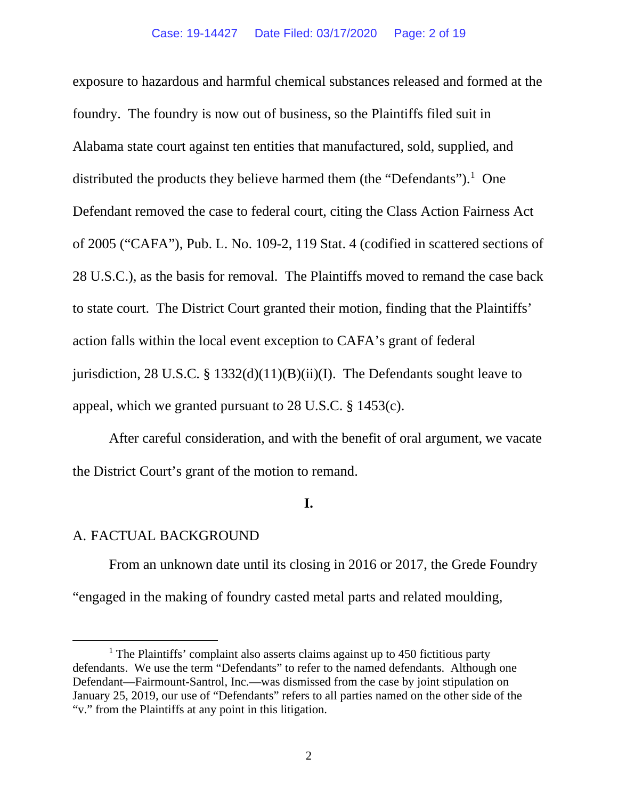## Case: 19-14427 Date Filed: 03/17/2020 Page: 2 of 19

exposure to hazardous and harmful chemical substances released and formed at the foundry. The foundry is now out of business, so the Plaintiffs filed suit in Alabama state court against ten entities that manufactured, sold, supplied, and distributed the products they believe harmed them (the "Defendants").<sup>[1](#page-1-0)</sup> One Defendant removed the case to federal court, citing the Class Action Fairness Act of 2005 ("CAFA"), Pub. L. No. 109-2, 119 Stat. 4 (codified in scattered sections of 28 U.S.C.), as the basis for removal. The Plaintiffs moved to remand the case back to state court. The District Court granted their motion, finding that the Plaintiffs' action falls within the local event exception to CAFA's grant of federal jurisdiction, 28 U.S.C. § 1332(d)(11)(B)(ii)(I). The Defendants sought leave to appeal, which we granted pursuant to 28 U.S.C. § 1453(c).

After careful consideration, and with the benefit of oral argument, we vacate the District Court's grant of the motion to remand.

## **I.**

## A. FACTUAL BACKGROUND

From an unknown date until its closing in 2016 or 2017, the Grede Foundry "engaged in the making of foundry casted metal parts and related moulding,

<span id="page-1-0"></span><sup>&</sup>lt;sup>1</sup> The Plaintiffs' complaint also asserts claims against up to 450 fictitious party defendants. We use the term "Defendants" to refer to the named defendants. Although one Defendant—Fairmount-Santrol, Inc.—was dismissed from the case by joint stipulation on January 25, 2019, our use of "Defendants" refers to all parties named on the other side of the "v." from the Plaintiffs at any point in this litigation.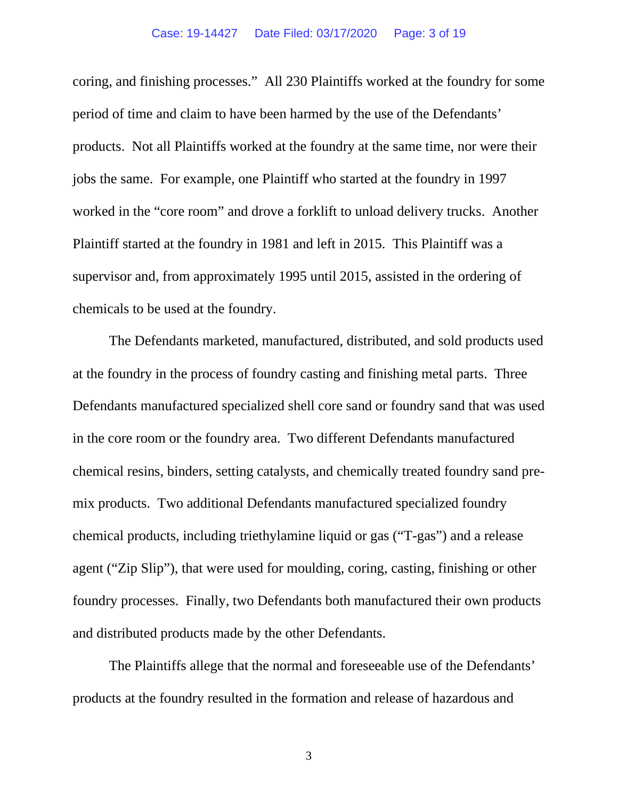coring, and finishing processes." All 230 Plaintiffs worked at the foundry for some period of time and claim to have been harmed by the use of the Defendants' products. Not all Plaintiffs worked at the foundry at the same time, nor were their jobs the same. For example, one Plaintiff who started at the foundry in 1997 worked in the "core room" and drove a forklift to unload delivery trucks. Another Plaintiff started at the foundry in 1981 and left in 2015. This Plaintiff was a supervisor and, from approximately 1995 until 2015, assisted in the ordering of chemicals to be used at the foundry.

The Defendants marketed, manufactured, distributed, and sold products used at the foundry in the process of foundry casting and finishing metal parts. Three Defendants manufactured specialized shell core sand or foundry sand that was used in the core room or the foundry area. Two different Defendants manufactured chemical resins, binders, setting catalysts, and chemically treated foundry sand premix products. Two additional Defendants manufactured specialized foundry chemical products, including triethylamine liquid or gas ("T-gas") and a release agent ("Zip Slip"), that were used for moulding, coring, casting, finishing or other foundry processes. Finally, two Defendants both manufactured their own products and distributed products made by the other Defendants.

The Plaintiffs allege that the normal and foreseeable use of the Defendants' products at the foundry resulted in the formation and release of hazardous and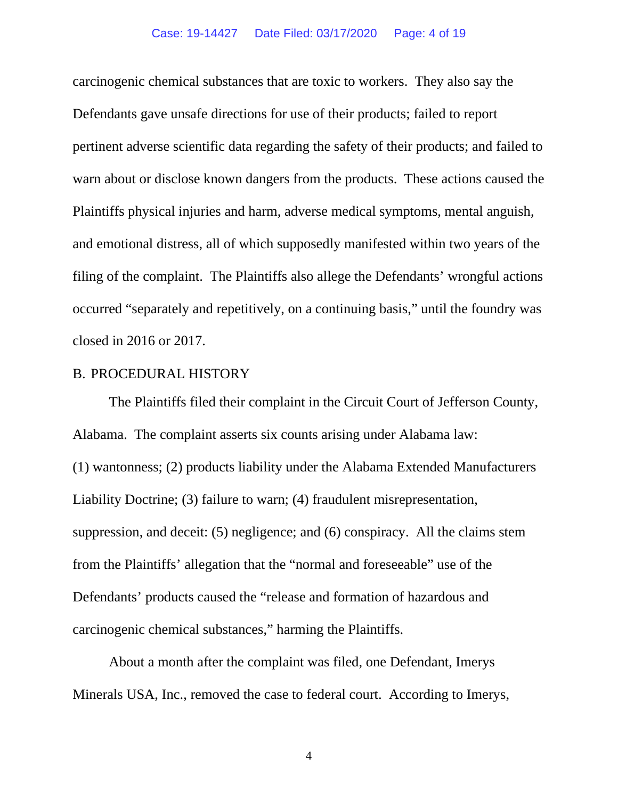## Case: 19-14427 Date Filed: 03/17/2020 Page: 4 of 19

carcinogenic chemical substances that are toxic to workers. They also say the Defendants gave unsafe directions for use of their products; failed to report pertinent adverse scientific data regarding the safety of their products; and failed to warn about or disclose known dangers from the products. These actions caused the Plaintiffs physical injuries and harm, adverse medical symptoms, mental anguish, and emotional distress, all of which supposedly manifested within two years of the filing of the complaint. The Plaintiffs also allege the Defendants' wrongful actions occurred "separately and repetitively, on a continuing basis," until the foundry was closed in 2016 or 2017.

# B. PROCEDURAL HISTORY

The Plaintiffs filed their complaint in the Circuit Court of Jefferson County, Alabama. The complaint asserts six counts arising under Alabama law: (1) wantonness; (2) products liability under the Alabama Extended Manufacturers Liability Doctrine; (3) failure to warn; (4) fraudulent misrepresentation, suppression, and deceit: (5) negligence; and (6) conspiracy. All the claims stem from the Plaintiffs' allegation that the "normal and foreseeable" use of the Defendants' products caused the "release and formation of hazardous and carcinogenic chemical substances," harming the Plaintiffs.

About a month after the complaint was filed, one Defendant, Imerys Minerals USA, Inc., removed the case to federal court. According to Imerys,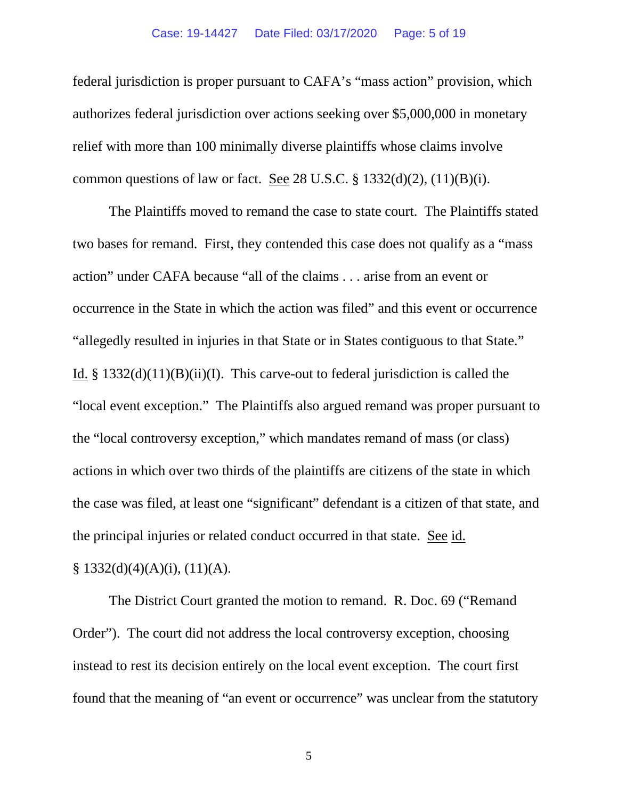## Case: 19-14427 Date Filed: 03/17/2020 Page: 5 of 19

federal jurisdiction is proper pursuant to CAFA's "mass action" provision, which authorizes federal jurisdiction over actions seeking over \$5,000,000 in monetary relief with more than 100 minimally diverse plaintiffs whose claims involve common questions of law or fact. See 28 U.S.C.  $\S$  1332(d)(2), (11)(B)(i).

The Plaintiffs moved to remand the case to state court. The Plaintiffs stated two bases for remand. First, they contended this case does not qualify as a "mass action" under CAFA because "all of the claims . . . arise from an event or occurrence in the State in which the action was filed" and this event or occurrence "allegedly resulted in injuries in that State or in States contiguous to that State." Id. §  $1332(d)(11)(B)(ii)(I)$ . This carve-out to federal jurisdiction is called the "local event exception." The Plaintiffs also argued remand was proper pursuant to the "local controversy exception," which mandates remand of mass (or class) actions in which over two thirds of the plaintiffs are citizens of the state in which the case was filed, at least one "significant" defendant is a citizen of that state, and the principal injuries or related conduct occurred in that state. See id.  $§ 1332(d)(4)(A)(i), (11)(A).$ 

The District Court granted the motion to remand. R. Doc. 69 ("Remand Order"). The court did not address the local controversy exception, choosing instead to rest its decision entirely on the local event exception. The court first found that the meaning of "an event or occurrence" was unclear from the statutory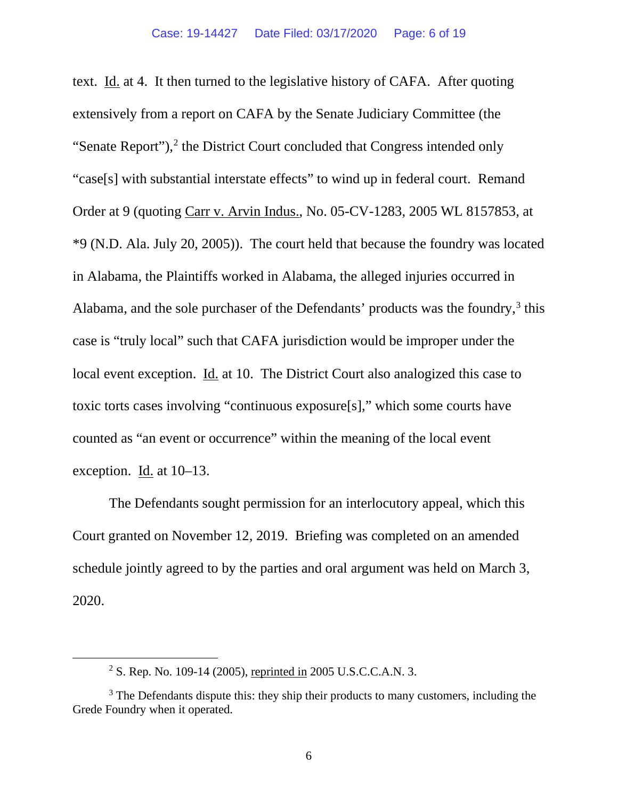text. Id. at 4. It then turned to the legislative history of CAFA. After quoting extensively from a report on CAFA by the Senate Judiciary Committee (the "Senate Report"), $2$  the District Court concluded that Congress intended only "case[s] with substantial interstate effects" to wind up in federal court. Remand Order at 9 (quoting Carr v. Arvin Indus., No. 05-CV-1283, 2005 WL 8157853, at \*9 (N.D. Ala. July 20, 2005)). The court held that because the foundry was located in Alabama, the Plaintiffs worked in Alabama, the alleged injuries occurred in Alabama, and the sole purchaser of the Defendants' products was the foundry, $3$  this case is "truly local" such that CAFA jurisdiction would be improper under the local event exception. Id. at 10. The District Court also analogized this case to toxic torts cases involving "continuous exposure[s]," which some courts have counted as "an event or occurrence" within the meaning of the local event exception. Id. at 10–13.

The Defendants sought permission for an interlocutory appeal, which this Court granted on November 12, 2019. Briefing was completed on an amended schedule jointly agreed to by the parties and oral argument was held on March 3, 2020.

<sup>2</sup> S. Rep. No. 109-14 (2005), reprinted in 2005 U.S.C.C.A.N. 3.

<span id="page-5-1"></span><span id="page-5-0"></span> $3$  The Defendants dispute this: they ship their products to many customers, including the Grede Foundry when it operated.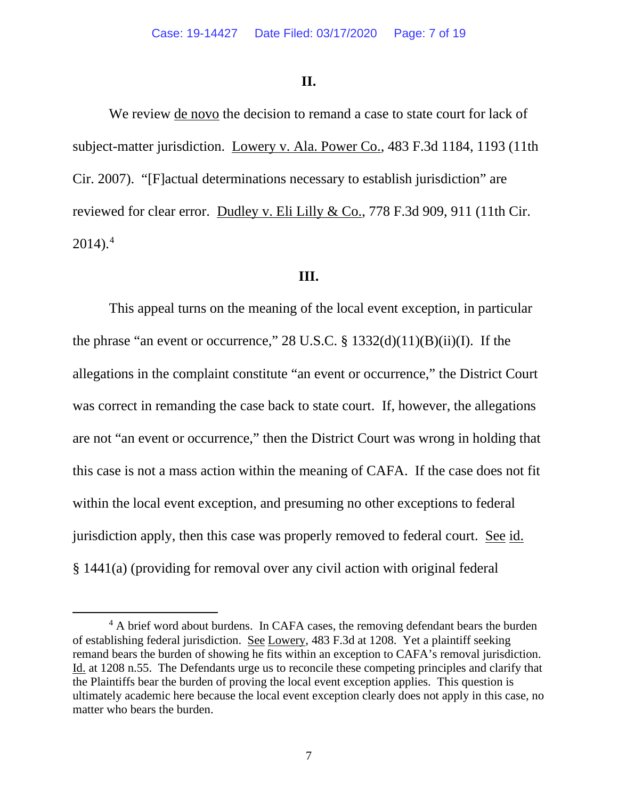## **II.**

We review de novo the decision to remand a case to state court for lack of subject-matter jurisdiction. Lowery v. Ala. Power Co., 483 F.3d 1184, 1193 (11th Cir. 2007). "[F]actual determinations necessary to establish jurisdiction" are reviewed for clear error. Dudley v. Eli Lilly & Co., 778 F.3d 909, 911 (11th Cir.  $2014$  $2014$ ).<sup>4</sup>

## **III.**

This appeal turns on the meaning of the local event exception, in particular the phrase "an event or occurrence,"  $28 \text{ U.S.C.} \$   $1332(d)(11)(B)(ii)(I)$ . If the allegations in the complaint constitute "an event or occurrence," the District Court was correct in remanding the case back to state court. If, however, the allegations are not "an event or occurrence," then the District Court was wrong in holding that this case is not a mass action within the meaning of CAFA. If the case does not fit within the local event exception, and presuming no other exceptions to federal jurisdiction apply, then this case was properly removed to federal court. See id. § 1441(a) (providing for removal over any civil action with original federal

<span id="page-6-0"></span><sup>&</sup>lt;sup>4</sup> A brief word about burdens. In CAFA cases, the removing defendant bears the burden of establishing federal jurisdiction. See Lowery, 483 F.3d at 1208. Yet a plaintiff seeking remand bears the burden of showing he fits within an exception to CAFA's removal jurisdiction. Id. at 1208 n.55. The Defendants urge us to reconcile these competing principles and clarify that the Plaintiffs bear the burden of proving the local event exception applies. This question is ultimately academic here because the local event exception clearly does not apply in this case, no matter who bears the burden.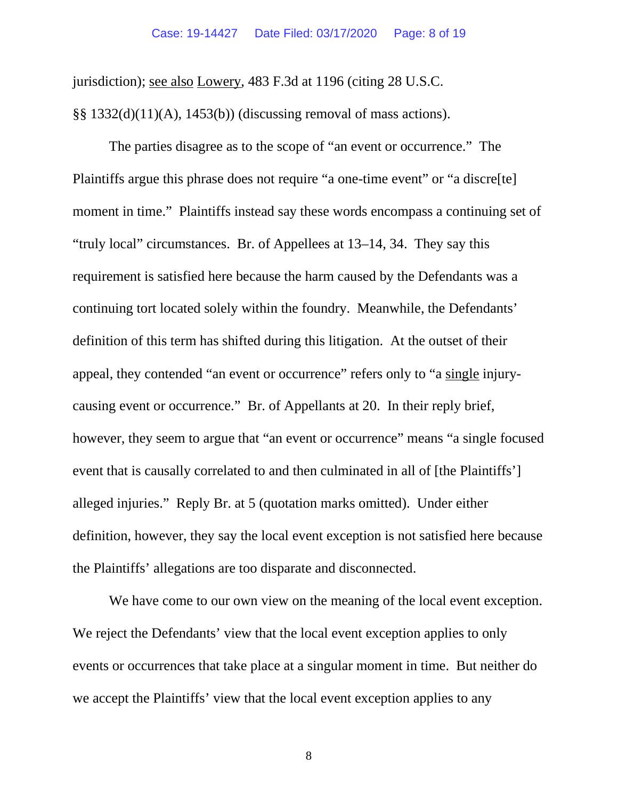jurisdiction); see also Lowery, 483 F.3d at 1196 (citing 28 U.S.C.

§§ 1332(d)(11)(A), 1453(b)) (discussing removal of mass actions).

The parties disagree as to the scope of "an event or occurrence." The Plaintiffs argue this phrase does not require "a one-time event" or "a discre[te] moment in time." Plaintiffs instead say these words encompass a continuing set of "truly local" circumstances. Br. of Appellees at 13–14, 34. They say this requirement is satisfied here because the harm caused by the Defendants was a continuing tort located solely within the foundry. Meanwhile, the Defendants' definition of this term has shifted during this litigation. At the outset of their appeal, they contended "an event or occurrence" refers only to "a single injurycausing event or occurrence." Br. of Appellants at 20. In their reply brief, however, they seem to argue that "an event or occurrence" means "a single focused event that is causally correlated to and then culminated in all of [the Plaintiffs'] alleged injuries." Reply Br. at 5 (quotation marks omitted). Under either definition, however, they say the local event exception is not satisfied here because the Plaintiffs' allegations are too disparate and disconnected.

We have come to our own view on the meaning of the local event exception. We reject the Defendants' view that the local event exception applies to only events or occurrences that take place at a singular moment in time. But neither do we accept the Plaintiffs' view that the local event exception applies to any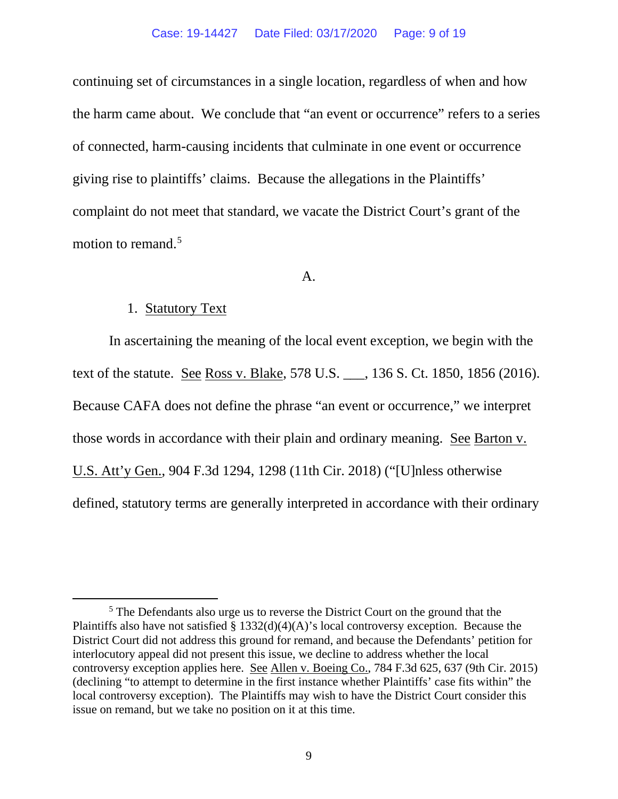## Case: 19-14427 Date Filed: 03/17/2020 Page: 9 of 19

continuing set of circumstances in a single location, regardless of when and how the harm came about. We conclude that "an event or occurrence" refers to a series of connected, harm-causing incidents that culminate in one event or occurrence giving rise to plaintiffs' claims. Because the allegations in the Plaintiffs' complaint do not meet that standard, we vacate the District Court's grant of the motion to remand.<sup>[5](#page-8-0)</sup>

## A.

## 1. Statutory Text

In ascertaining the meaning of the local event exception, we begin with the text of the statute. See Ross v. Blake, 578 U.S. \_\_\_, 136 S. Ct. 1850, 1856 (2016). Because CAFA does not define the phrase "an event or occurrence," we interpret those words in accordance with their plain and ordinary meaning. See Barton v. U.S. Att'y Gen., 904 F.3d 1294, 1298 (11th Cir. 2018) ("[U]nless otherwise defined, statutory terms are generally interpreted in accordance with their ordinary

<span id="page-8-0"></span><sup>&</sup>lt;sup>5</sup> The Defendants also urge us to reverse the District Court on the ground that the Plaintiffs also have not satisfied  $\S 1332(d)(4)(A)$ 's local controversy exception. Because the District Court did not address this ground for remand, and because the Defendants' petition for interlocutory appeal did not present this issue, we decline to address whether the local controversy exception applies here. See Allen v. Boeing Co., 784 F.3d 625, 637 (9th Cir. 2015) (declining "to attempt to determine in the first instance whether Plaintiffs' case fits within" the local controversy exception). The Plaintiffs may wish to have the District Court consider this issue on remand, but we take no position on it at this time.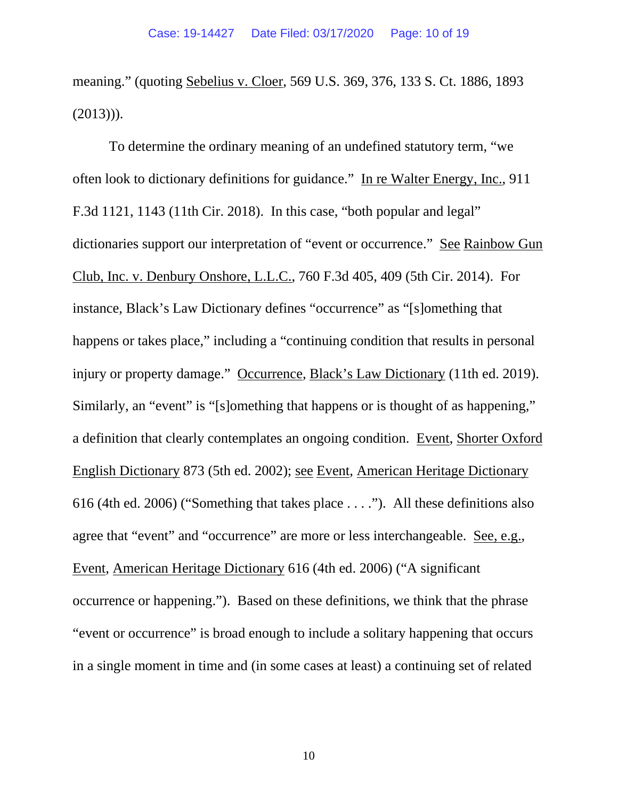meaning." (quoting Sebelius v. Cloer, 569 U.S. 369, 376, 133 S. Ct. 1886, 1893  $(2013))$ .

To determine the ordinary meaning of an undefined statutory term, "we often look to dictionary definitions for guidance." In re Walter Energy, Inc., 911 F.3d 1121, 1143 (11th Cir. 2018). In this case, "both popular and legal" dictionaries support our interpretation of "event or occurrence." See Rainbow Gun Club, Inc. v. Denbury Onshore, L.L.C., 760 F.3d 405, 409 (5th Cir. 2014). For instance, Black's Law Dictionary defines "occurrence" as "[s]omething that happens or takes place," including a "continuing condition that results in personal injury or property damage." Occurrence, Black's Law Dictionary (11th ed. 2019). Similarly, an "event" is "[s]omething that happens or is thought of as happening," a definition that clearly contemplates an ongoing condition. Event, Shorter Oxford English Dictionary 873 (5th ed. 2002); see Event, American Heritage Dictionary 616 (4th ed. 2006) ("Something that takes place . . . ."). All these definitions also agree that "event" and "occurrence" are more or less interchangeable. See, e.g., Event, American Heritage Dictionary 616 (4th ed. 2006) ("A significant occurrence or happening."). Based on these definitions, we think that the phrase "event or occurrence" is broad enough to include a solitary happening that occurs in a single moment in time and (in some cases at least) a continuing set of related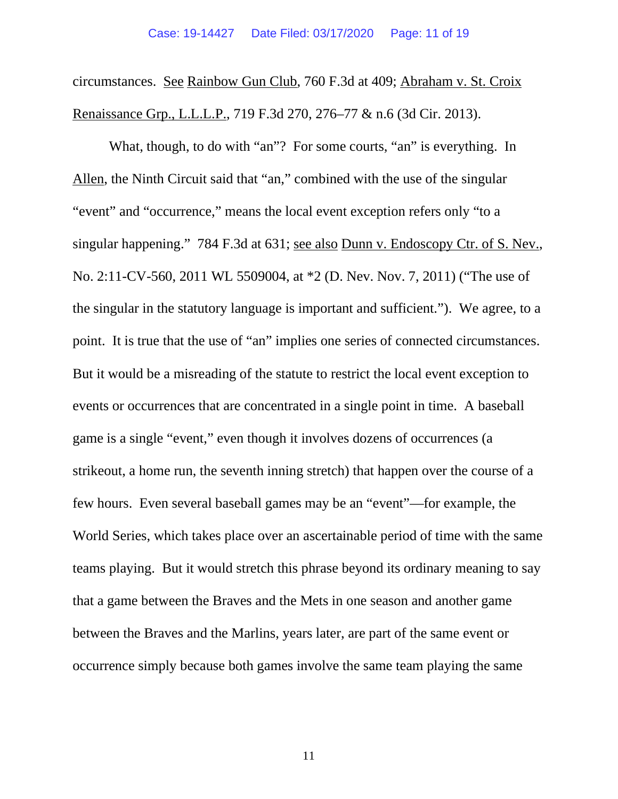circumstances. See Rainbow Gun Club, 760 F.3d at 409; Abraham v. St. Croix Renaissance Grp., L.L.L.P., 719 F.3d 270, 276–77 & n.6 (3d Cir. 2013).

What, though, to do with "an"? For some courts, "an" is everything. In Allen, the Ninth Circuit said that "an," combined with the use of the singular "event" and "occurrence," means the local event exception refers only "to a singular happening." 784 F.3d at 631; see also Dunn v. Endoscopy Ctr. of S. Nev., No. 2:11-CV-560, 2011 WL 5509004, at \*2 (D. Nev. Nov. 7, 2011) ("The use of the singular in the statutory language is important and sufficient."). We agree, to a point. It is true that the use of "an" implies one series of connected circumstances. But it would be a misreading of the statute to restrict the local event exception to events or occurrences that are concentrated in a single point in time. A baseball game is a single "event," even though it involves dozens of occurrences (a strikeout, a home run, the seventh inning stretch) that happen over the course of a few hours. Even several baseball games may be an "event"—for example, the World Series, which takes place over an ascertainable period of time with the same teams playing. But it would stretch this phrase beyond its ordinary meaning to say that a game between the Braves and the Mets in one season and another game between the Braves and the Marlins, years later, are part of the same event or occurrence simply because both games involve the same team playing the same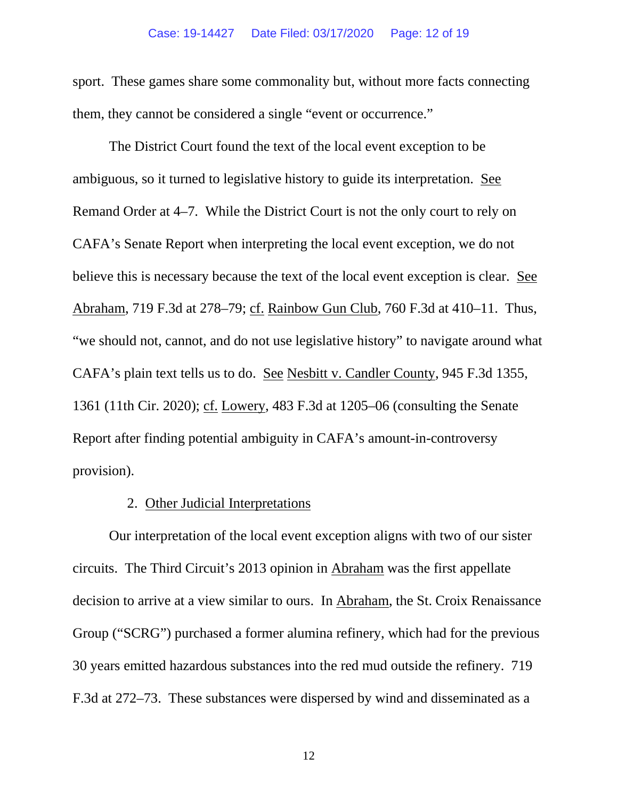sport. These games share some commonality but, without more facts connecting them, they cannot be considered a single "event or occurrence."

The District Court found the text of the local event exception to be ambiguous, so it turned to legislative history to guide its interpretation. See Remand Order at 4–7. While the District Court is not the only court to rely on CAFA's Senate Report when interpreting the local event exception, we do not believe this is necessary because the text of the local event exception is clear. See Abraham, 719 F.3d at 278–79; cf. Rainbow Gun Club, 760 F.3d at 410–11. Thus, "we should not, cannot, and do not use legislative history" to navigate around what CAFA's plain text tells us to do. See Nesbitt v. Candler County, 945 F.3d 1355, 1361 (11th Cir. 2020); cf. Lowery, 483 F.3d at 1205–06 (consulting the Senate Report after finding potential ambiguity in CAFA's amount-in-controversy provision).

## 2. Other Judicial Interpretations

Our interpretation of the local event exception aligns with two of our sister circuits. The Third Circuit's 2013 opinion in Abraham was the first appellate decision to arrive at a view similar to ours. In Abraham, the St. Croix Renaissance Group ("SCRG") purchased a former alumina refinery, which had for the previous 30 years emitted hazardous substances into the red mud outside the refinery. 719 F.3d at 272–73. These substances were dispersed by wind and disseminated as a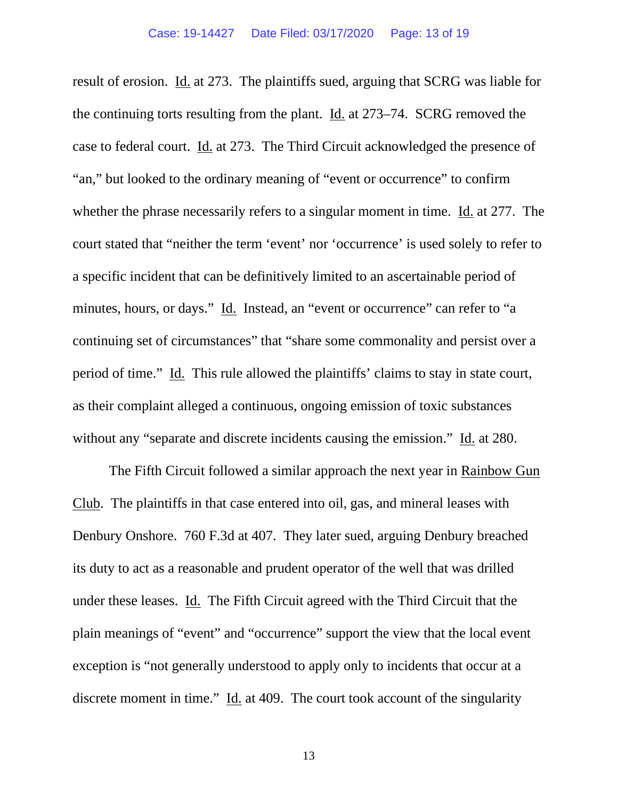result of erosion. Id. at 273. The plaintiffs sued, arguing that SCRG was liable for the continuing torts resulting from the plant. Id. at 273–74. SCRG removed the case to federal court. Id. at 273. The Third Circuit acknowledged the presence of "an," but looked to the ordinary meaning of "event or occurrence" to confirm whether the phrase necessarily refers to a singular moment in time. Id. at 277. The court stated that "neither the term 'event' nor 'occurrence' is used solely to refer to a specific incident that can be definitively limited to an ascertainable period of minutes, hours, or days." Id. Instead, an "event or occurrence" can refer to "a continuing set of circumstances" that "share some commonality and persist over a period of time." Id. This rule allowed the plaintiffs' claims to stay in state court, as their complaint alleged a continuous, ongoing emission of toxic substances without any "separate and discrete incidents causing the emission." Id. at 280.

The Fifth Circuit followed a similar approach the next year in Rainbow Gun Club. The plaintiffs in that case entered into oil, gas, and mineral leases with Denbury Onshore. 760 F.3d at 407. They later sued, arguing Denbury breached its duty to act as a reasonable and prudent operator of the well that was drilled under these leases. Id. The Fifth Circuit agreed with the Third Circuit that the plain meanings of "event" and "occurrence" support the view that the local event exception is "not generally understood to apply only to incidents that occur at a discrete moment in time." Id. at 409. The court took account of the singularity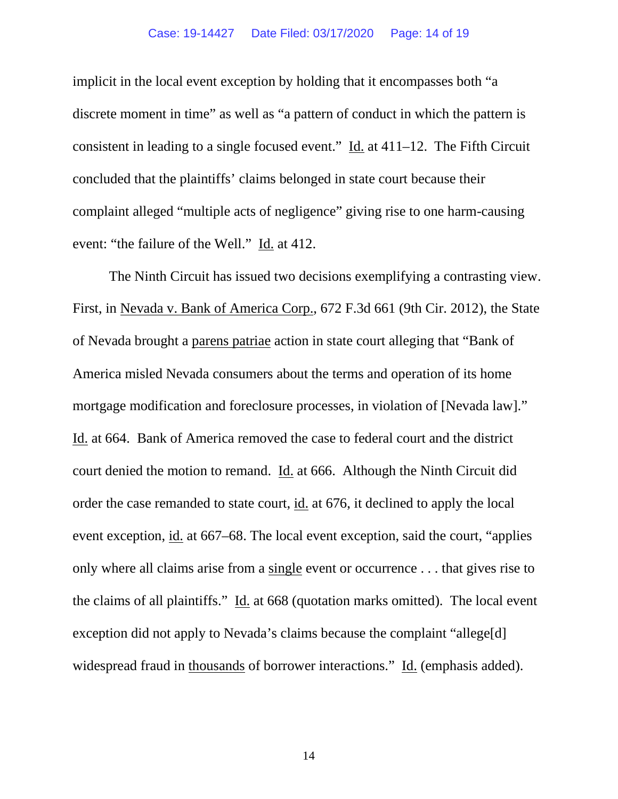## Case: 19-14427 Date Filed: 03/17/2020 Page: 14 of 19

implicit in the local event exception by holding that it encompasses both "a discrete moment in time" as well as "a pattern of conduct in which the pattern is consistent in leading to a single focused event." Id. at 411–12. The Fifth Circuit concluded that the plaintiffs' claims belonged in state court because their complaint alleged "multiple acts of negligence" giving rise to one harm-causing event: "the failure of the Well." Id. at 412.

The Ninth Circuit has issued two decisions exemplifying a contrasting view. First, in Nevada v. Bank of America Corp., 672 F.3d 661 (9th Cir. 2012), the State of Nevada brought a parens patriae action in state court alleging that "Bank of America misled Nevada consumers about the terms and operation of its home mortgage modification and foreclosure processes, in violation of [Nevada law]." Id. at 664. Bank of America removed the case to federal court and the district court denied the motion to remand. Id. at 666. Although the Ninth Circuit did order the case remanded to state court, id. at 676, it declined to apply the local event exception, id. at 667–68. The local event exception, said the court, "applies only where all claims arise from a single event or occurrence . . . that gives rise to the claims of all plaintiffs." Id. at 668 (quotation marks omitted). The local event exception did not apply to Nevada's claims because the complaint "allege[d] widespread fraud in thousands of borrower interactions." Id. (emphasis added).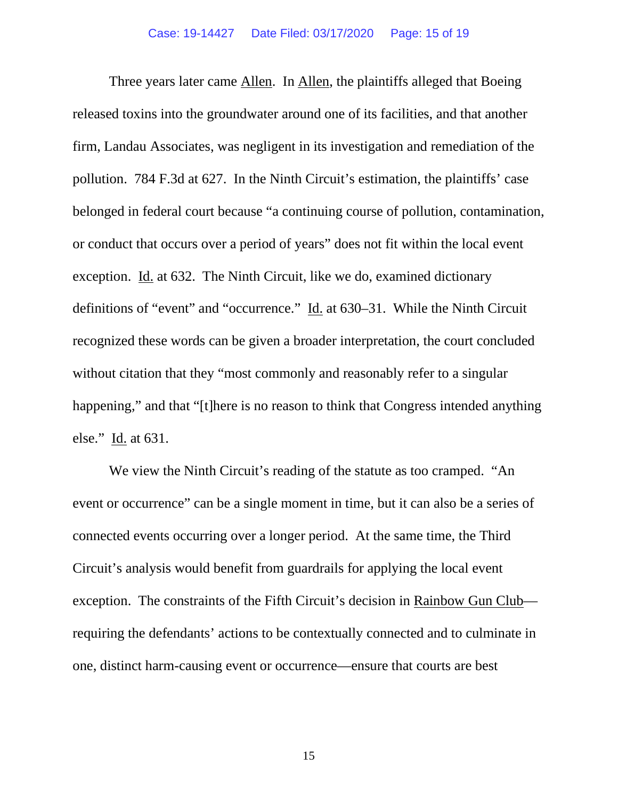Three years later came Allen. In Allen, the plaintiffs alleged that Boeing released toxins into the groundwater around one of its facilities, and that another firm, Landau Associates, was negligent in its investigation and remediation of the pollution. 784 F.3d at 627. In the Ninth Circuit's estimation, the plaintiffs' case belonged in federal court because "a continuing course of pollution, contamination, or conduct that occurs over a period of years" does not fit within the local event exception. Id. at 632. The Ninth Circuit, like we do, examined dictionary definitions of "event" and "occurrence." Id. at 630–31. While the Ninth Circuit recognized these words can be given a broader interpretation, the court concluded without citation that they "most commonly and reasonably refer to a singular happening," and that "[t]here is no reason to think that Congress intended anything else." Id. at 631.

We view the Ninth Circuit's reading of the statute as too cramped. "An event or occurrence" can be a single moment in time, but it can also be a series of connected events occurring over a longer period. At the same time, the Third Circuit's analysis would benefit from guardrails for applying the local event exception. The constraints of the Fifth Circuit's decision in Rainbow Gun Club requiring the defendants' actions to be contextually connected and to culminate in one, distinct harm-causing event or occurrence—ensure that courts are best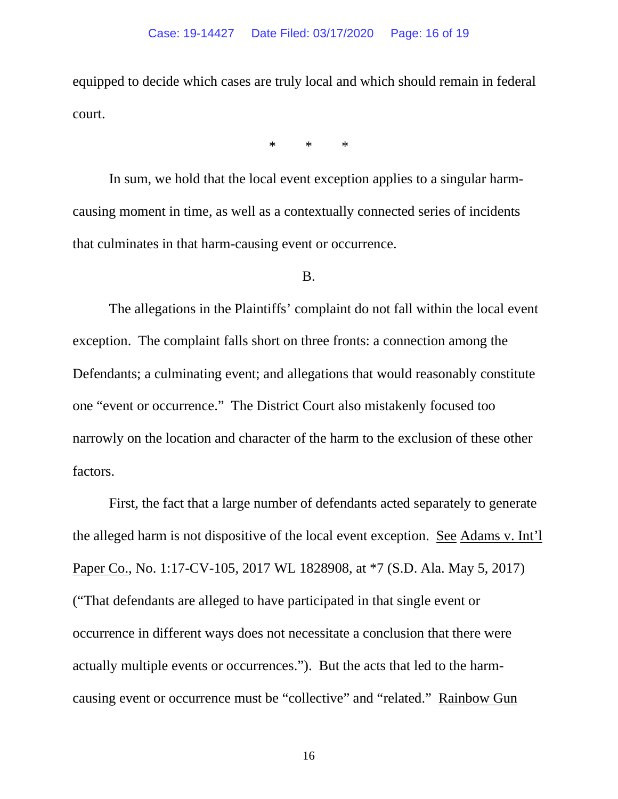equipped to decide which cases are truly local and which should remain in federal court.

\* \* \*

In sum, we hold that the local event exception applies to a singular harmcausing moment in time, as well as a contextually connected series of incidents that culminates in that harm-causing event or occurrence.

#### B.

The allegations in the Plaintiffs' complaint do not fall within the local event exception. The complaint falls short on three fronts: a connection among the Defendants; a culminating event; and allegations that would reasonably constitute one "event or occurrence." The District Court also mistakenly focused too narrowly on the location and character of the harm to the exclusion of these other factors.

First, the fact that a large number of defendants acted separately to generate the alleged harm is not dispositive of the local event exception. See Adams v. Int'l Paper Co., No. 1:17-CV-105, 2017 WL 1828908, at \*7 (S.D. Ala. May 5, 2017) ("That defendants are alleged to have participated in that single event or occurrence in different ways does not necessitate a conclusion that there were actually multiple events or occurrences."). But the acts that led to the harmcausing event or occurrence must be "collective" and "related." Rainbow Gun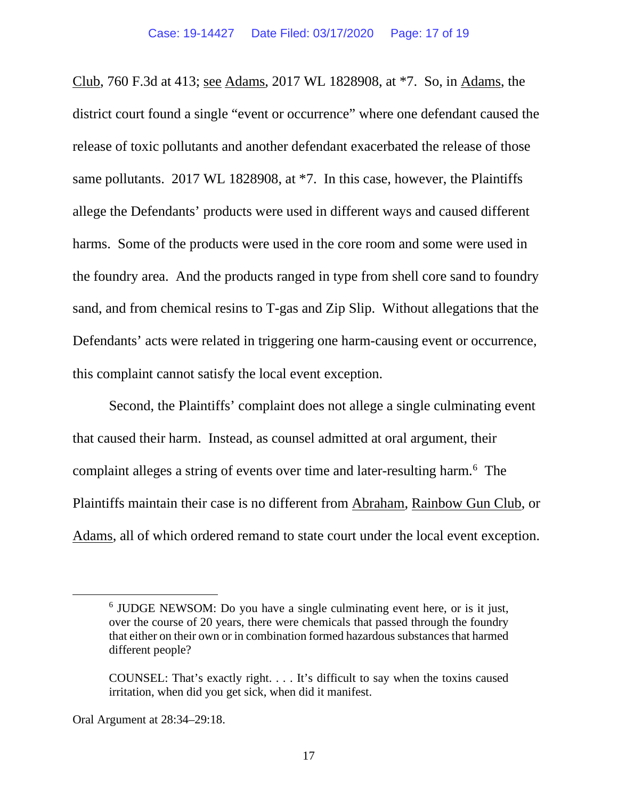Club, 760 F.3d at 413; see Adams, 2017 WL 1828908, at \*7. So, in Adams, the district court found a single "event or occurrence" where one defendant caused the release of toxic pollutants and another defendant exacerbated the release of those same pollutants. 2017 WL 1828908, at  $*7$ . In this case, however, the Plaintiffs allege the Defendants' products were used in different ways and caused different harms. Some of the products were used in the core room and some were used in the foundry area. And the products ranged in type from shell core sand to foundry sand, and from chemical resins to T-gas and Zip Slip. Without allegations that the Defendants' acts were related in triggering one harm-causing event or occurrence, this complaint cannot satisfy the local event exception.

Second, the Plaintiffs' complaint does not allege a single culminating event that caused their harm. Instead, as counsel admitted at oral argument, their complaint alleges a string of events over time and later-resulting harm.<sup>[6](#page-16-0)</sup> The Plaintiffs maintain their case is no different from Abraham, Rainbow Gun Club, or Adams, all of which ordered remand to state court under the local event exception.

<span id="page-16-0"></span><sup>6</sup> JUDGE NEWSOM: Do you have a single culminating event here, or is it just, over the course of 20 years, there were chemicals that passed through the foundry that either on their own or in combination formed hazardous substances that harmed different people?

COUNSEL: That's exactly right. . . . It's difficult to say when the toxins caused irritation, when did you get sick, when did it manifest.

Oral Argument at 28:34–29:18.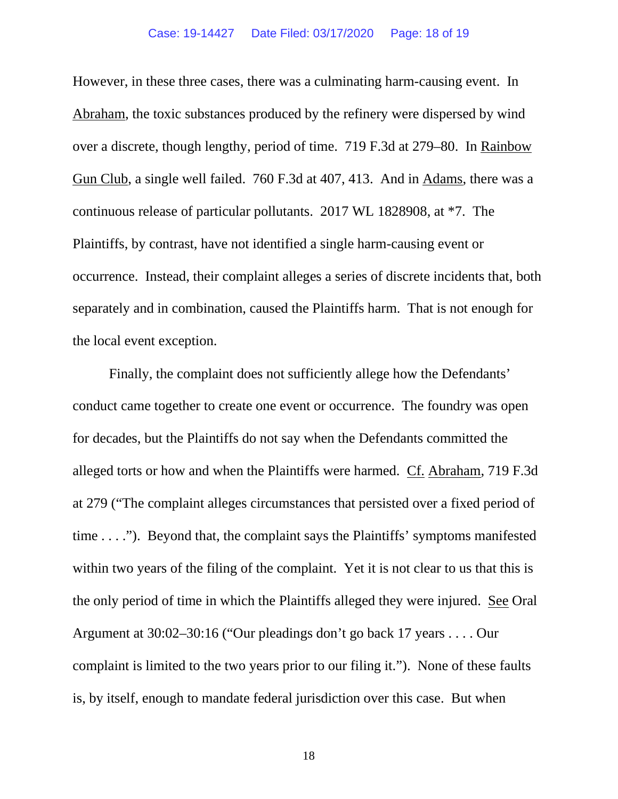## Case: 19-14427 Date Filed: 03/17/2020 Page: 18 of 19

However, in these three cases, there was a culminating harm-causing event. In Abraham, the toxic substances produced by the refinery were dispersed by wind over a discrete, though lengthy, period of time. 719 F.3d at 279–80. In Rainbow Gun Club, a single well failed. 760 F.3d at 407, 413. And in Adams, there was a continuous release of particular pollutants. 2017 WL 1828908, at \*7. The Plaintiffs, by contrast, have not identified a single harm-causing event or occurrence. Instead, their complaint alleges a series of discrete incidents that, both separately and in combination, caused the Plaintiffs harm. That is not enough for the local event exception.

Finally, the complaint does not sufficiently allege how the Defendants' conduct came together to create one event or occurrence. The foundry was open for decades, but the Plaintiffs do not say when the Defendants committed the alleged torts or how and when the Plaintiffs were harmed. Cf. Abraham, 719 F.3d at 279 ("The complaint alleges circumstances that persisted over a fixed period of time  $\dots$ ."). Beyond that, the complaint says the Plaintiffs' symptoms manifested within two years of the filing of the complaint. Yet it is not clear to us that this is the only period of time in which the Plaintiffs alleged they were injured. See Oral Argument at 30:02–30:16 ("Our pleadings don't go back 17 years . . . . Our complaint is limited to the two years prior to our filing it."). None of these faults is, by itself, enough to mandate federal jurisdiction over this case. But when